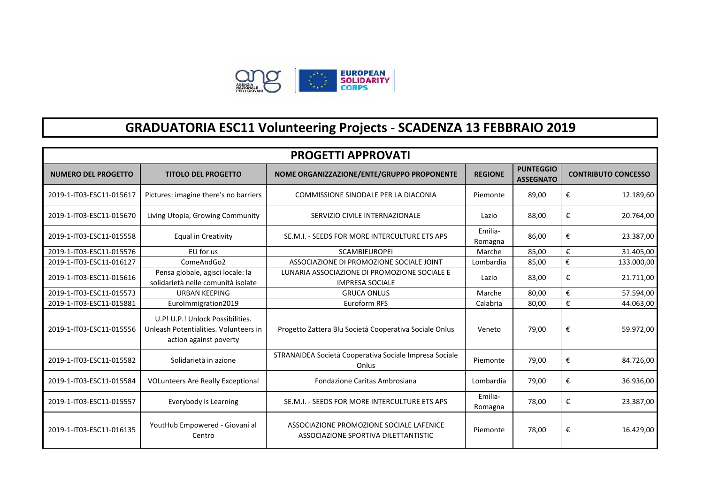

## **GRADUATORIA ESC11 Volunteering Projects - SCADENZA 13 FEBBRAIO 2019**

| <b>PROGETTI APPROVATI</b>  |                                                                                                     |                                                                                  |                    |                                      |                            |  |
|----------------------------|-----------------------------------------------------------------------------------------------------|----------------------------------------------------------------------------------|--------------------|--------------------------------------|----------------------------|--|
| <b>NUMERO DEL PROGETTO</b> | <b>TITOLO DEL PROGETTO</b>                                                                          | NOME ORGANIZZAZIONE/ENTE/GRUPPO PROPONENTE                                       | <b>REGIONE</b>     | <b>PUNTEGGIO</b><br><b>ASSEGNATO</b> | <b>CONTRIBUTO CONCESSO</b> |  |
| 2019-1-IT03-ESC11-015617   | Pictures: imagine there's no barriers                                                               | COMMISSIONE SINODALE PER LA DIACONIA                                             | Piemonte           | 89,00                                | €<br>12.189,60             |  |
| 2019-1-IT03-ESC11-015670   | Living Utopia, Growing Community                                                                    | SERVIZIO CIVILE INTERNAZIONALE                                                   | Lazio              |                                      | €<br>20.764,00             |  |
| 2019-1-IT03-ESC11-015558   | <b>Equal in Creativity</b>                                                                          | SE.M.I. - SEEDS FOR MORE INTERCULTURE ETS APS                                    | Emilia-<br>Romagna |                                      | €<br>23.387,00             |  |
| 2019-1-IT03-ESC11-015576   | EU for us                                                                                           | <b>SCAMBIEUROPEI</b>                                                             | Marche             | 85.00                                | €<br>31.405,00             |  |
| 2019-1-IT03-ESC11-016127   | ComeAndGo2                                                                                          | ASSOCIAZIONE DI PROMOZIONE SOCIALE JOINT                                         | Lombardia          | 85,00                                | €<br>133.000,00            |  |
| 2019-1-IT03-ESC11-015616   | Pensa globale, agisci locale: la<br>solidarietà nelle comunità isolate                              | LUNARIA ASSOCIAZIONE DI PROMOZIONE SOCIALE E<br><b>IMPRESA SOCIALE</b>           | 83,00<br>Lazio     |                                      | €<br>21.711,00             |  |
| 2019-1-IT03-ESC11-015573   | <b>URBAN KEEPING</b>                                                                                | <b>GRUCA ONLUS</b>                                                               | Marche             | 80,00                                | €<br>57.594,00             |  |
| 2019-1-IT03-ESC11-015881   | Eurolmmigration2019                                                                                 | Euroform RFS                                                                     | Calabria           | 80,00                                | €<br>44.063,00             |  |
| 2019-1-IT03-ESC11-015556   | U.P! U.P.! Unlock Possibilities.<br>Unleash Potentialities. Volunteers in<br>action against poverty | Progetto Zattera Blu Società Cooperativa Sociale Onlus                           | Veneto             | 79,00                                | €<br>59.972,00             |  |
| 2019-1-IT03-ESC11-015582   | Solidarietà in azione                                                                               | STRANAIDEA Società Cooperativa Sociale Impresa Sociale<br>Onlus                  | Piemonte           | 79,00                                | €<br>84.726,00             |  |
| 2019-1-IT03-ESC11-015584   | <b>VOLunteers Are Really Exceptional</b>                                                            | Fondazione Caritas Ambrosiana                                                    | Lombardia          | 79,00                                | €<br>36.936,00             |  |
| 2019-1-IT03-ESC11-015557   | Everybody is Learning                                                                               | SE.M.I. - SEEDS FOR MORE INTERCULTURE ETS APS                                    | Emilia-<br>Romagna | 78,00                                | €<br>23.387,00             |  |
| 2019-1-IT03-ESC11-016135   | YoutHub Empowered - Giovani al<br>Centro                                                            | ASSOCIAZIONE PROMOZIONE SOCIALE LAFENICE<br>ASSOCIAZIONE SPORTIVA DILETTANTISTIC | Piemonte           | 78,00                                | €<br>16.429,00             |  |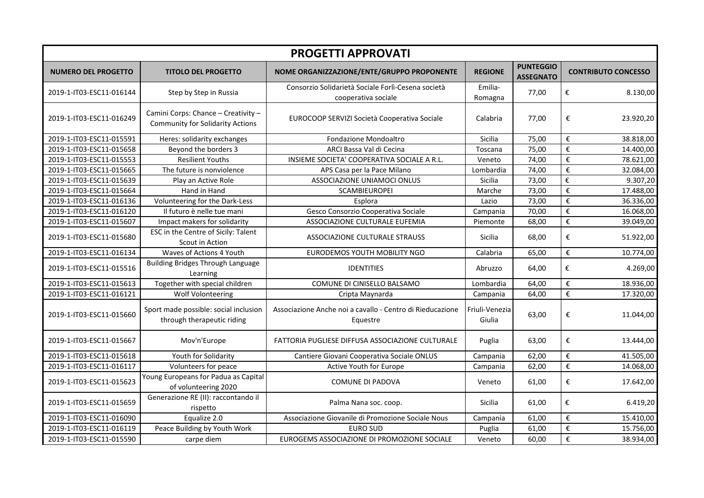| <b>PROGETTI APPROVATI</b>  |                                                                                |                                                                           |                          |                                      |                                      |  |
|----------------------------|--------------------------------------------------------------------------------|---------------------------------------------------------------------------|--------------------------|--------------------------------------|--------------------------------------|--|
| <b>NUMERO DEL PROGETTO</b> | <b>TITOLO DEL PROGETTO</b>                                                     | NOME ORGANIZZAZIONE/ENTE/GRUPPO PROPONENTE                                | <b>REGIONE</b>           | <b>PUNTEGGIO</b><br><b>ASSEGNATO</b> | <b>CONTRIBUTO CONCESSO</b>           |  |
| 2019-1-IT03-ESC11-016144   | Step by Step in Russia                                                         | Consorzio Solidarietà Sociale Forlì-Cesena società<br>cooperativa sociale | Emilia-<br>Romagna       | 77,00                                | €<br>8.130,00                        |  |
| 2019-1-IT03-ESC11-016249   | Camini Corps: Chance - Creativity -<br><b>Community for Solidarity Actions</b> | EUROCOOP SERVIZI Società Cooperativa Sociale                              | Calabria                 | 77,00                                | €<br>23.920,20                       |  |
| 2019-1-IT03-ESC11-015591   | Heres: solidarity exchanges                                                    | Fondazione Mondoaltro                                                     | Sicilia                  | 75,00                                | €<br>38.818,00                       |  |
| 2019-1-IT03-ESC11-015658   | Beyond the borders 3                                                           | ARCI Bassa Val di Cecina                                                  | Toscana                  | 75,00                                | $\epsilon$<br>14.400,00              |  |
| 2019-1-IT03-ESC11-015553   | <b>Resilient Youths</b>                                                        | INSIEME SOCIETA' COOPERATIVA SOCIALE A R.L.                               | Veneto                   | 74,00                                | $\overline{\epsilon}$<br>78.621,00   |  |
| 2019-1-IT03-ESC11-015665   | The future is nonviolence                                                      | APS Casa per la Pace Milano                                               | Lombardia                | 74,00                                | $\boldsymbol{\epsilon}$<br>32.084,00 |  |
| 2019-1-IT03-ESC11-015639   | Play an Active Role                                                            | ASSOCIAZIONE UNIAMOCI ONLUS                                               | Sicilia                  | 73,00                                | €<br>9.307,20                        |  |
| 2019-1-IT03-ESC11-015664   | Hand in Hand                                                                   | SCAMBIEUROPEI                                                             | Marche                   | 73,00                                | $\boldsymbol{\epsilon}$<br>17.488,00 |  |
| 2019-1-IT03-ESC11-016136   | Volunteering for the Dark-Less                                                 | Esplora                                                                   | Lazio                    | 73,00                                | $\boldsymbol{\epsilon}$<br>36.336,00 |  |
| 2019-1-IT03-ESC11-016120   | Il futuro è nelle tue mani                                                     | Gesco Consorzio Cooperativa Sociale                                       | Campania                 | 70,00                                | $\boldsymbol{\epsilon}$<br>16.068,00 |  |
| 2019-1-IT03-ESC11-015607   | Impact makers for solidarity                                                   | ASSOCIAZIONE CULTURALE EUFEMIA                                            | Piemonte                 | 68,00                                | $\pmb{\epsilon}$<br>39.049,00        |  |
| 2019-1-IT03-ESC11-015680   | ESC in the Centre of Sicily: Talent<br>Scout in Action                         | ASSOCIAZIONE CULTURALE STRAUSS                                            | Sicilia                  | 68,00                                | €<br>51.922,00                       |  |
| 2019-1-IT03-ESC11-016134   | Waves of Actions 4 Youth                                                       | EURODEMOS YOUTH MOBILITY NGO                                              | Calabria                 | 65,00                                | $\boldsymbol{\epsilon}$<br>10.774,00 |  |
| 2019-1-IT03-ESC11-015516   | <b>Building Bridges Through Language</b><br>Learning                           | <b>IDENTITIES</b>                                                         | Abruzzo                  | 64,00                                | €<br>4.269,00                        |  |
| 2019-1-IT03-ESC11-015613   | Together with special children                                                 | COMUNE DI CINISELLO BALSAMO                                               | Lombardia                | 64,00                                | €<br>18.936,00                       |  |
| 2019-1-IT03-ESC11-016121   | <b>Wolf Volonteering</b>                                                       | Cripta Maynarda                                                           | Campania                 | 64,00                                | $\pmb{\epsilon}$<br>17.320,00        |  |
| 2019-1-IT03-ESC11-015660   | Sport made possible: social inclusion<br>through therapeutic riding            | Associazione Anche noi a cavallo - Centro di Rieducazione<br>Equestre     | Friuli-Venezia<br>Giulia | 63,00                                | €<br>11.044,00                       |  |
| 2019-1-IT03-ESC11-015667   | Mov'n'Europe                                                                   | FATTORIA PUGLIESE DIFFUSA ASSOCIAZIONE CULTURALE                          | Puglia                   | 63,00                                | €<br>13.444,00                       |  |
| 2019-1-IT03-ESC11-015618   | Youth for Solidarity                                                           | Cantiere Giovani Cooperativa Sociale ONLUS                                | Campania                 | 62,00                                | €<br>41.505,00                       |  |
| 2019-1-IT03-ESC11-016117   | Volunteers for peace                                                           | <b>Active Youth for Europe</b>                                            | Campania                 | 62,00                                | €<br>14.068,00                       |  |
| 2019-1-IT03-ESC11-015623   | Young Europeans for Padua as Capital<br>of volunteering 2020                   | <b>COMUNE DI PADOVA</b>                                                   | Veneto                   | 61,00                                | €<br>17.642,00                       |  |
| 2019-1-IT03-ESC11-015659   | Generazione RE (II): raccontando il<br>rispetto                                | Palma Nana soc. coop.                                                     | Sicilia                  | 61,00                                | €<br>6.419,20                        |  |
| 2019-1-IT03-ESC11-016090   | Equalize 2.0                                                                   | Associazione Giovanile di Promozione Sociale Nous                         | Campania                 | 61,00                                | $\pmb{\epsilon}$<br>15.410,00        |  |
| 2019-1-IT03-ESC11-016119   | Peace Building by Youth Work                                                   | <b>EURO SUD</b>                                                           | Puglia                   | 61,00                                | €<br>15.756,00                       |  |
| 2019-1-IT03-ESC11-015590   | carpe diem                                                                     | EUROGEMS ASSOCIAZIONE DI PROMOZIONE SOCIALE                               | Veneto                   | 60,00                                | €<br>38.934,00                       |  |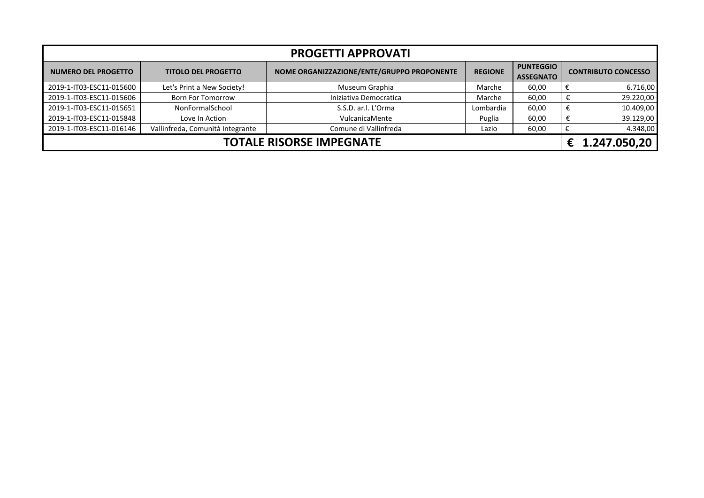| <b>PROGETTI APPROVATI</b>       |                                  |                                            |                |                                      |   |                            |  |
|---------------------------------|----------------------------------|--------------------------------------------|----------------|--------------------------------------|---|----------------------------|--|
| <b>NUMERO DEL PROGETTO</b>      | <b>TITOLO DEL PROGETTO</b>       | NOME ORGANIZZAZIONE/ENTE/GRUPPO PROPONENTE | <b>REGIONE</b> | <b>PUNTEGGIO</b><br><b>ASSEGNATO</b> |   | <b>CONTRIBUTO CONCESSO</b> |  |
| 2019-1-IT03-ESC11-015600        | Let's Print a New Society!       | Museum Graphia                             | Marche         | 60,00                                |   | 6.716,00                   |  |
| 2019-1-IT03-ESC11-015606        | <b>Born For Tomorrow</b>         | Iniziativa Democratica                     | Marche         | 60,00                                | € | 29.220,00                  |  |
| 2019-1-IT03-ESC11-015651        | NonFormalSchool                  | S.S.D. ar.l. L'Orma                        | Lombardia      | 60,00                                |   | 10.409,00                  |  |
| 2019-1-IT03-ESC11-015848        | Love In Action                   | VulcanicaMente                             | Puglia         | 60,00                                | € | 39.129,00                  |  |
| 2019-1-IT03-ESC11-016146        | Vallinfreda, Comunità Integrante | Comune di Vallinfreda                      | Lazio          | 60,00                                |   | 4.348,00                   |  |
| <b>TOTALE RISORSE IMPEGNATE</b> |                                  |                                            |                |                                      |   | 1.247.050,20               |  |